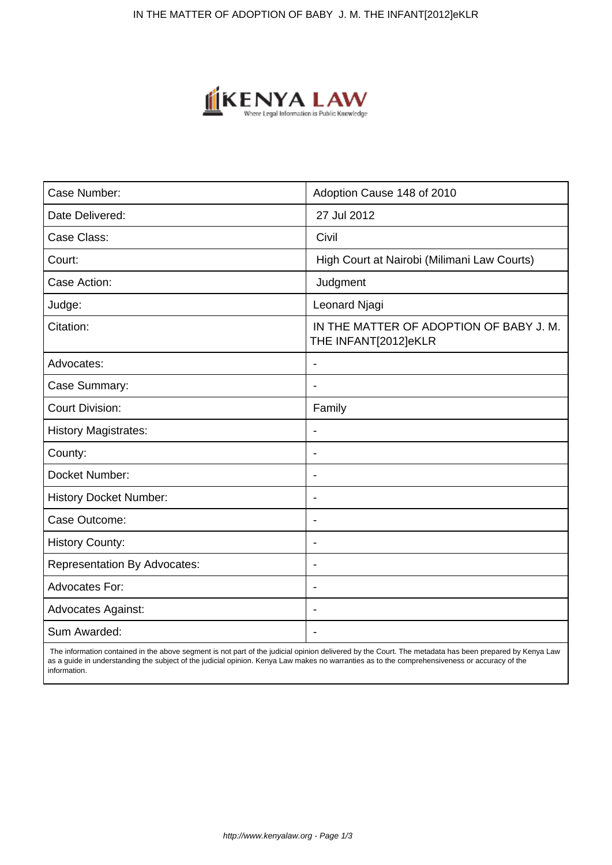

| Case Number:                        | Adoption Cause 148 of 2010                                      |
|-------------------------------------|-----------------------------------------------------------------|
| Date Delivered:                     | 27 Jul 2012                                                     |
| Case Class:                         | Civil                                                           |
| Court:                              | High Court at Nairobi (Milimani Law Courts)                     |
| Case Action:                        | Judgment                                                        |
| Judge:                              | Leonard Njagi                                                   |
| Citation:                           | IN THE MATTER OF ADOPTION OF BABY J. M.<br>THE INFANT[2012]eKLR |
| Advocates:                          |                                                                 |
| Case Summary:                       | $\blacksquare$                                                  |
| <b>Court Division:</b>              | Family                                                          |
| <b>History Magistrates:</b>         | $\blacksquare$                                                  |
| County:                             | $\overline{\phantom{a}}$                                        |
| Docket Number:                      | $\blacksquare$                                                  |
| <b>History Docket Number:</b>       | $\overline{\phantom{a}}$                                        |
| Case Outcome:                       | $\overline{\phantom{a}}$                                        |
| <b>History County:</b>              | $\blacksquare$                                                  |
| <b>Representation By Advocates:</b> | $\overline{\phantom{a}}$                                        |
| Advocates For:                      | $\blacksquare$                                                  |
| <b>Advocates Against:</b>           | $\blacksquare$                                                  |
| Sum Awarded:                        |                                                                 |

 The information contained in the above segment is not part of the judicial opinion delivered by the Court. The metadata has been prepared by Kenya Law as a guide in understanding the subject of the judicial opinion. Kenya Law makes no warranties as to the comprehensiveness or accuracy of the information.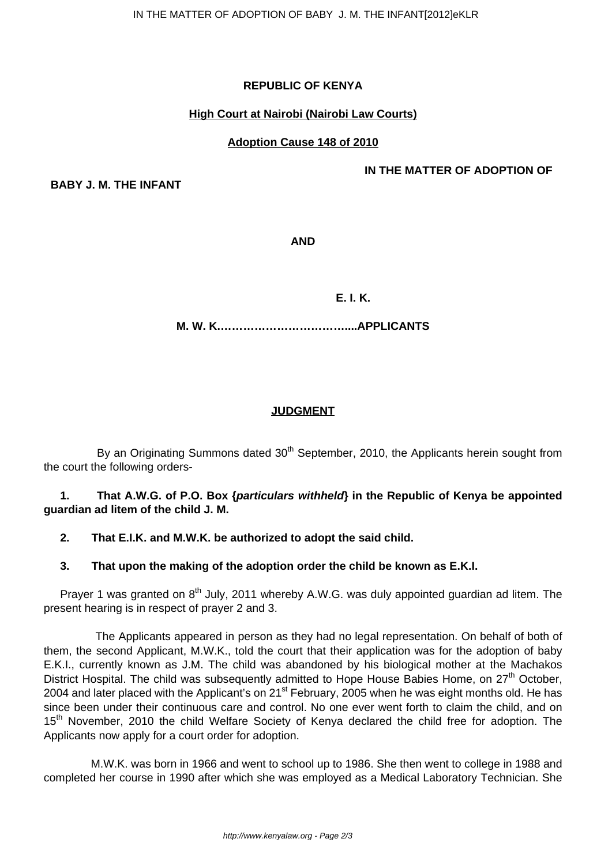# **REPUBLIC OF KENYA**

# **High Court at Nairobi (Nairobi Law Courts)**

# **Adoption Cause 148 of 2010**

**IN THE MATTER OF ADOPTION OF**

**BABY J. M. THE INFANT**

**AND**

 **E. I. K.**

**M. W. K.……………………………....APPLICANTS**

# **JUDGMENT**

By an Originating Summons dated 30<sup>th</sup> September, 2010, the Applicants herein sought from the court the following orders-

# **1. That A.W.G. of P.O. Box {particulars withheld} in the Republic of Kenya be appointed guardian ad litem of the child J. M.**

# **2. That E.I.K. and M.W.K. be authorized to adopt the said child.**

## **3. That upon the making of the adoption order the child be known as E.K.I.**

Prayer 1 was granted on  $8<sup>th</sup>$  July, 2011 whereby A.W.G. was duly appointed guardian ad litem. The present hearing is in respect of prayer 2 and 3.

 The Applicants appeared in person as they had no legal representation. On behalf of both of them, the second Applicant, M.W.K., told the court that their application was for the adoption of baby E.K.I., currently known as J.M. The child was abandoned by his biological mother at the Machakos District Hospital. The child was subsequently admitted to Hope House Babies Home, on 27<sup>th</sup> October. 2004 and later placed with the Applicant's on 21<sup>st</sup> February, 2005 when he was eight months old. He has since been under their continuous care and control. No one ever went forth to claim the child, and on 15<sup>th</sup> November, 2010 the child Welfare Society of Kenya declared the child free for adoption. The Applicants now apply for a court order for adoption.

 M.W.K. was born in 1966 and went to school up to 1986. She then went to college in 1988 and completed her course in 1990 after which she was employed as a Medical Laboratory Technician. She